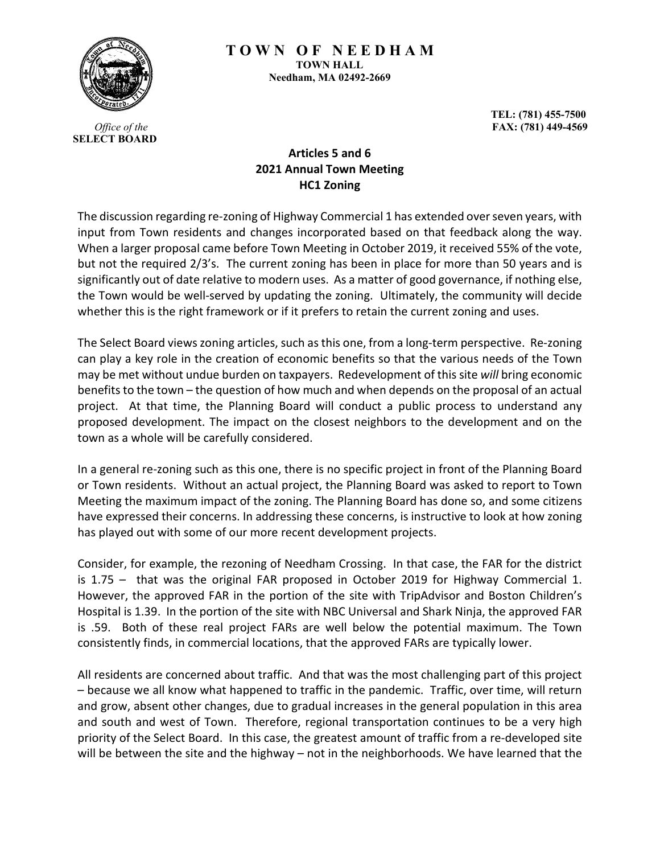

**T O W N O F N E E D H A M TOWN HALL Needham, MA 02492-2669**

> **TEL: (781) 455-7500 FAX: (781) 449-4569**

*Office of the*  **SELECT BOARD**

## **Articles 5 and 6 2021 Annual Town Meeting HC1 Zoning**

The discussion regarding re-zoning of Highway Commercial 1 has extended over seven years, with input from Town residents and changes incorporated based on that feedback along the way. When a larger proposal came before Town Meeting in October 2019, it received 55% of the vote, but not the required 2/3's. The current zoning has been in place for more than 50 years and is significantly out of date relative to modern uses. As a matter of good governance, if nothing else, the Town would be well-served by updating the zoning. Ultimately, the community will decide whether this is the right framework or if it prefers to retain the current zoning and uses.

The Select Board views zoning articles, such as this one, from a long-term perspective. Re-zoning can play a key role in the creation of economic benefits so that the various needs of the Town may be met without undue burden on taxpayers. Redevelopment of this site *will* bring economic benefits to the town – the question of how much and when depends on the proposal of an actual project. At that time, the Planning Board will conduct a public process to understand any proposed development. The impact on the closest neighbors to the development and on the town as a whole will be carefully considered.

In a general re-zoning such as this one, there is no specific project in front of the Planning Board or Town residents. Without an actual project, the Planning Board was asked to report to Town Meeting the maximum impact of the zoning. The Planning Board has done so, and some citizens have expressed their concerns. In addressing these concerns, is instructive to look at how zoning has played out with some of our more recent development projects.

Consider, for example, the rezoning of Needham Crossing. In that case, the FAR for the district is 1.75 – that was the original FAR proposed in October 2019 for Highway Commercial 1. However, the approved FAR in the portion of the site with TripAdvisor and Boston Children's Hospital is 1.39. In the portion of the site with NBC Universal and Shark Ninja, the approved FAR is .59. Both of these real project FARs are well below the potential maximum. The Town consistently finds, in commercial locations, that the approved FARs are typically lower.

All residents are concerned about traffic. And that was the most challenging part of this project – because we all know what happened to traffic in the pandemic. Traffic, over time, will return and grow, absent other changes, due to gradual increases in the general population in this area and south and west of Town. Therefore, regional transportation continues to be a very high priority of the Select Board. In this case, the greatest amount of traffic from a re-developed site will be between the site and the highway – not in the neighborhoods. We have learned that the